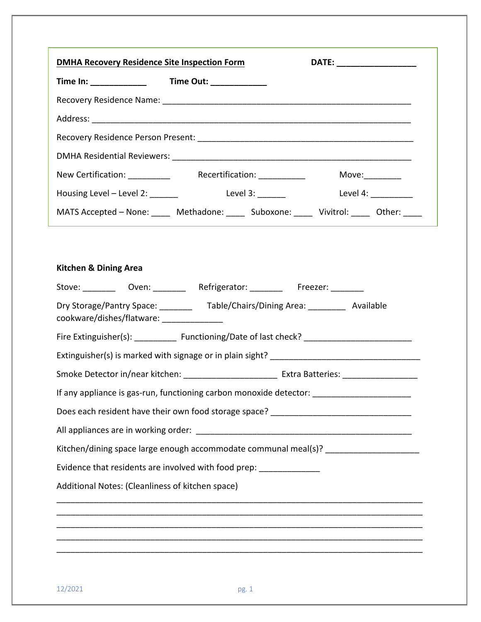| <b>DMHA Recovery Residence Site Inspection Form</b> |                                                                                                      | DATE: ___________________ |  |
|-----------------------------------------------------|------------------------------------------------------------------------------------------------------|---------------------------|--|
|                                                     |                                                                                                      |                           |  |
|                                                     |                                                                                                      |                           |  |
|                                                     |                                                                                                      |                           |  |
|                                                     |                                                                                                      |                           |  |
|                                                     |                                                                                                      |                           |  |
|                                                     | New Certification: _____________  Recertification: _____________  Move: ________                     |                           |  |
|                                                     | Housing Level – Level 2: ________ Level 3: _______ Level 4: __________                               |                           |  |
|                                                     | MATS Accepted - None: _____ Methadone: _____ Suboxone: _____ Vivitrol: _____ Other: ____             |                           |  |
|                                                     | Stove: _________ Oven: ________ Refrigerator: ________ Freezer: _______                              |                           |  |
| <b>Kitchen &amp; Dining Area</b>                    |                                                                                                      |                           |  |
|                                                     | Dry Storage/Pantry Space: ____________ Table/Chairs/Dining Area: ____________ Available              |                           |  |
| cookware/dishes/flatware: _______________           |                                                                                                      |                           |  |
|                                                     | Fire Extinguisher(s): _____________ Functioning/Date of last check? ________________________________ |                           |  |
|                                                     |                                                                                                      |                           |  |
|                                                     |                                                                                                      |                           |  |
|                                                     | If any appliance is gas-run, functioning carbon monoxide detector: ________________________________  |                           |  |
|                                                     | Does each resident have their own food storage space? ___________________________                    |                           |  |
|                                                     |                                                                                                      |                           |  |
|                                                     | Kitchen/dining space large enough accommodate communal meal(s)? _________________                    |                           |  |
|                                                     | Evidence that residents are involved with food prep: _______________                                 |                           |  |
| Additional Notes: (Cleanliness of kitchen space)    |                                                                                                      |                           |  |
|                                                     |                                                                                                      |                           |  |
|                                                     |                                                                                                      |                           |  |
|                                                     |                                                                                                      |                           |  |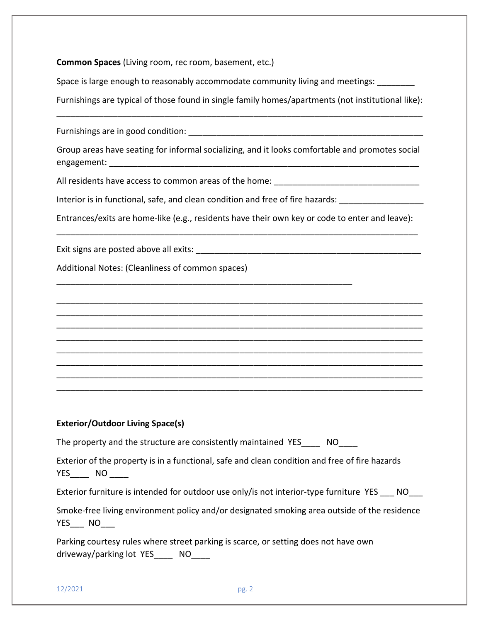**Common Spaces** (Living room, rec room, basement, etc.)

Space is large enough to reasonably accommodate community living and meetings:

Furnishings are typical of those found in single family homes/apartments (not institutional like): \_\_\_\_\_\_\_\_\_\_\_\_\_\_\_\_\_\_\_\_\_\_\_\_\_\_\_\_\_\_\_\_\_\_\_\_\_\_\_\_\_\_\_\_\_\_\_\_\_\_\_\_\_\_\_\_\_\_\_\_\_\_\_\_\_\_\_\_\_\_\_\_\_\_\_\_\_\_

Furnishings are in good condition: \_\_\_\_\_\_\_\_\_\_\_\_\_\_\_\_\_\_\_\_\_\_\_\_\_\_\_\_\_\_\_\_\_\_\_\_\_\_\_\_\_\_\_\_\_\_\_\_\_\_

Group areas have seating for informal socializing, and it looks comfortable and promotes social engagement:

All residents have access to common areas of the home:

Interior is in functional, safe, and clean condition and free of fire hazards:

\_\_\_\_\_\_\_\_\_\_\_\_\_\_\_\_\_\_\_\_\_\_\_\_\_\_\_\_\_\_\_\_\_\_\_\_\_\_\_\_\_\_\_\_\_\_\_\_\_\_\_\_\_\_\_\_\_\_\_\_\_\_\_

Entrances/exits are home-like (e.g., residents have their own key or code to enter and leave): \_\_\_\_\_\_\_\_\_\_\_\_\_\_\_\_\_\_\_\_\_\_\_\_\_\_\_\_\_\_\_\_\_\_\_\_\_\_\_\_\_\_\_\_\_\_\_\_\_\_\_\_\_\_\_\_\_\_\_\_\_\_\_\_\_\_\_\_\_\_\_\_\_\_\_\_\_

\_\_\_\_\_\_\_\_\_\_\_\_\_\_\_\_\_\_\_\_\_\_\_\_\_\_\_\_\_\_\_\_\_\_\_\_\_\_\_\_\_\_\_\_\_\_\_\_\_\_\_\_\_\_\_\_\_\_\_\_\_\_\_\_\_\_\_\_\_\_\_\_\_\_\_\_\_\_ \_\_\_\_\_\_\_\_\_\_\_\_\_\_\_\_\_\_\_\_\_\_\_\_\_\_\_\_\_\_\_\_\_\_\_\_\_\_\_\_\_\_\_\_\_\_\_\_\_\_\_\_\_\_\_\_\_\_\_\_\_\_\_\_\_\_\_\_\_\_\_\_\_\_\_\_\_\_ \_\_\_\_\_\_\_\_\_\_\_\_\_\_\_\_\_\_\_\_\_\_\_\_\_\_\_\_\_\_\_\_\_\_\_\_\_\_\_\_\_\_\_\_\_\_\_\_\_\_\_\_\_\_\_\_\_\_\_\_\_\_\_\_\_\_\_\_\_\_\_\_\_\_\_\_\_\_ \_\_\_\_\_\_\_\_\_\_\_\_\_\_\_\_\_\_\_\_\_\_\_\_\_\_\_\_\_\_\_\_\_\_\_\_\_\_\_\_\_\_\_\_\_\_\_\_\_\_\_\_\_\_\_\_\_\_\_\_\_\_\_\_\_\_\_\_\_\_\_\_\_\_\_\_\_\_ \_\_\_\_\_\_\_\_\_\_\_\_\_\_\_\_\_\_\_\_\_\_\_\_\_\_\_\_\_\_\_\_\_\_\_\_\_\_\_\_\_\_\_\_\_\_\_\_\_\_\_\_\_\_\_\_\_\_\_\_\_\_\_\_\_\_\_\_\_\_\_\_\_\_\_\_\_\_ \_\_\_\_\_\_\_\_\_\_\_\_\_\_\_\_\_\_\_\_\_\_\_\_\_\_\_\_\_\_\_\_\_\_\_\_\_\_\_\_\_\_\_\_\_\_\_\_\_\_\_\_\_\_\_\_\_\_\_\_\_\_\_\_\_\_\_\_\_\_\_\_\_\_\_\_\_\_ \_\_\_\_\_\_\_\_\_\_\_\_\_\_\_\_\_\_\_\_\_\_\_\_\_\_\_\_\_\_\_\_\_\_\_\_\_\_\_\_\_\_\_\_\_\_\_\_\_\_\_\_\_\_\_\_\_\_\_\_\_\_\_\_\_\_\_\_\_\_\_\_\_\_\_\_\_\_ \_\_\_\_\_\_\_\_\_\_\_\_\_\_\_\_\_\_\_\_\_\_\_\_\_\_\_\_\_\_\_\_\_\_\_\_\_\_\_\_\_\_\_\_\_\_\_\_\_\_\_\_\_\_\_\_\_\_\_\_\_\_\_\_\_\_\_\_\_\_\_\_\_\_\_\_\_\_

Exit signs are posted above all exits: \_\_\_\_\_\_\_\_\_\_\_\_\_\_\_\_\_\_\_\_\_\_\_\_\_\_\_\_\_\_\_\_\_\_\_\_\_\_\_\_\_\_\_\_\_\_\_\_

Additional Notes: (Cleanliness of common spaces)

## **Exterior/Outdoor Living Space(s)**

The property and the structure are consistently maintained YES \_\_\_\_ NO

Exterior of the property is in a functional, safe and clean condition and free of fire hazards YES\_\_\_\_\_\_ NO \_\_\_\_\_

Exterior furniture is intended for outdoor use only/is not interior-type furniture YES NO

Smoke-free living environment policy and/or designated smoking area outside of the residence YES NO

Parking courtesy rules where street parking is scarce, or setting does not have own driveway/parking lot YES \_\_\_ NO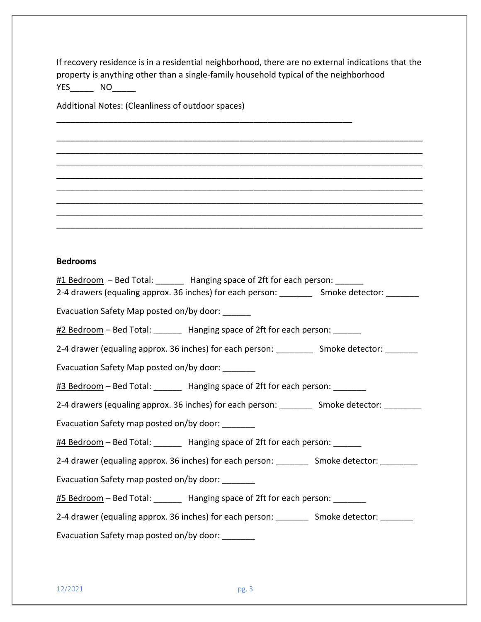If recovery residence is in a residential neighborhood, there are no external indications that the property is anything other than a single-family household typical of the neighborhood YES\_\_\_\_\_ NO\_\_\_\_\_

\_\_\_\_\_\_\_\_\_\_\_\_\_\_\_\_\_\_\_\_\_\_\_\_\_\_\_\_\_\_\_\_\_\_\_\_\_\_\_\_\_\_\_\_\_\_\_\_\_\_\_\_\_\_\_\_\_\_\_\_\_\_\_\_\_\_\_\_\_\_\_\_\_\_\_\_\_\_ \_\_\_\_\_\_\_\_\_\_\_\_\_\_\_\_\_\_\_\_\_\_\_\_\_\_\_\_\_\_\_\_\_\_\_\_\_\_\_\_\_\_\_\_\_\_\_\_\_\_\_\_\_\_\_\_\_\_\_\_\_\_\_\_\_\_\_\_\_\_\_\_\_\_\_\_\_\_ \_\_\_\_\_\_\_\_\_\_\_\_\_\_\_\_\_\_\_\_\_\_\_\_\_\_\_\_\_\_\_\_\_\_\_\_\_\_\_\_\_\_\_\_\_\_\_\_\_\_\_\_\_\_\_\_\_\_\_\_\_\_\_\_\_\_\_\_\_\_\_\_\_\_\_\_\_\_ \_\_\_\_\_\_\_\_\_\_\_\_\_\_\_\_\_\_\_\_\_\_\_\_\_\_\_\_\_\_\_\_\_\_\_\_\_\_\_\_\_\_\_\_\_\_\_\_\_\_\_\_\_\_\_\_\_\_\_\_\_\_\_\_\_\_\_\_\_\_\_\_\_\_\_\_\_\_ \_\_\_\_\_\_\_\_\_\_\_\_\_\_\_\_\_\_\_\_\_\_\_\_\_\_\_\_\_\_\_\_\_\_\_\_\_\_\_\_\_\_\_\_\_\_\_\_\_\_\_\_\_\_\_\_\_\_\_\_\_\_\_\_\_\_\_\_\_\_\_\_\_\_\_\_\_\_ \_\_\_\_\_\_\_\_\_\_\_\_\_\_\_\_\_\_\_\_\_\_\_\_\_\_\_\_\_\_\_\_\_\_\_\_\_\_\_\_\_\_\_\_\_\_\_\_\_\_\_\_\_\_\_\_\_\_\_\_\_\_\_\_\_\_\_\_\_\_\_\_\_\_\_\_\_\_ \_\_\_\_\_\_\_\_\_\_\_\_\_\_\_\_\_\_\_\_\_\_\_\_\_\_\_\_\_\_\_\_\_\_\_\_\_\_\_\_\_\_\_\_\_\_\_\_\_\_\_\_\_\_\_\_\_\_\_\_\_\_\_\_\_\_\_\_\_\_\_\_\_\_\_\_\_\_ \_\_\_\_\_\_\_\_\_\_\_\_\_\_\_\_\_\_\_\_\_\_\_\_\_\_\_\_\_\_\_\_\_\_\_\_\_\_\_\_\_\_\_\_\_\_\_\_\_\_\_\_\_\_\_\_\_\_\_\_\_\_\_\_\_\_\_\_\_\_\_\_\_\_\_\_\_\_

\_\_\_\_\_\_\_\_\_\_\_\_\_\_\_\_\_\_\_\_\_\_\_\_\_\_\_\_\_\_\_\_\_\_\_\_\_\_\_\_\_\_\_\_\_\_\_\_\_\_\_\_\_\_\_\_\_\_\_\_\_\_\_

Additional Notes: (Cleanliness of outdoor spaces)

## **Bedrooms**

| #1 Bedroom - Bed Total: ______ Hanging space of 2ft for each person: ______<br>2-4 drawers (equaling approx. 36 inches) for each person: ___________ Smoke detector: ________ |
|-------------------------------------------------------------------------------------------------------------------------------------------------------------------------------|
| Evacuation Safety Map posted on/by door: ______                                                                                                                               |
| #2 Bedroom - Bed Total: _______ Hanging space of 2ft for each person: ______                                                                                                  |
| 2-4 drawer (equaling approx. 36 inches) for each person: ____________ Smoke detector: ________                                                                                |
| Evacuation Safety Map posted on/by door: _______                                                                                                                              |
| #3 Bedroom - Bed Total: _______ Hanging space of 2ft for each person: _______                                                                                                 |
| 2-4 drawers (equaling approx. 36 inches) for each person: _________ Smoke detector: ________                                                                                  |
| Evacuation Safety map posted on/by door: ______                                                                                                                               |
| #4 Bedroom - Bed Total: _______ Hanging space of 2ft for each person: ______                                                                                                  |
| 2-4 drawer (equaling approx. 36 inches) for each person: _________ Smoke detector: ________                                                                                   |
| Evacuation Safety map posted on/by door: ______                                                                                                                               |
| #5 Bedroom - Bed Total: _______ Hanging space of 2ft for each person: _______                                                                                                 |
| 2-4 drawer (equaling approx. 36 inches) for each person: ___________ Smoke detector: _________                                                                                |
| Evacuation Safety map posted on/by door:                                                                                                                                      |
|                                                                                                                                                                               |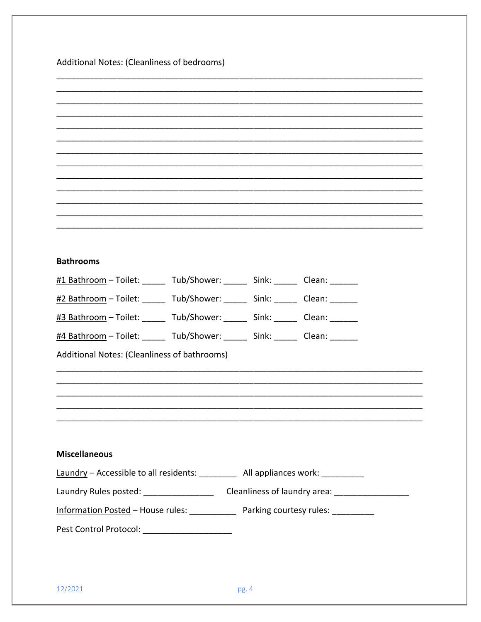Additional Notes: (Cleanliness of bedrooms)

| <b>Bathrooms</b>                                                                  |
|-----------------------------------------------------------------------------------|
| #1 Bathroom - Toilet: ______ Tub/Shower: ______ Sink: ______ Clean: ______        |
| #2 Bathroom - Toilet: ______ Tub/Shower: ______ Sink: ______ Clean: ______        |
| #3 Bathroom - Toilet: ______ Tub/Shower: ______ Sink: ______ Clean: ______        |
| #4 Bathroom - Toilet: ______ Tub/Shower: ______ Sink: ______ Clean: ______        |
| Additional Notes: (Cleanliness of bathrooms)                                      |
|                                                                                   |
|                                                                                   |
|                                                                                   |
|                                                                                   |
|                                                                                   |
| <b>Miscellaneous</b>                                                              |
| Laundry - Accessible to all residents: __________ All appliances work: _________  |
|                                                                                   |
| Information Posted - House rules: _____________ Parking courtesy rules: _________ |
| Pest Control Protocol: _____________________                                      |
|                                                                                   |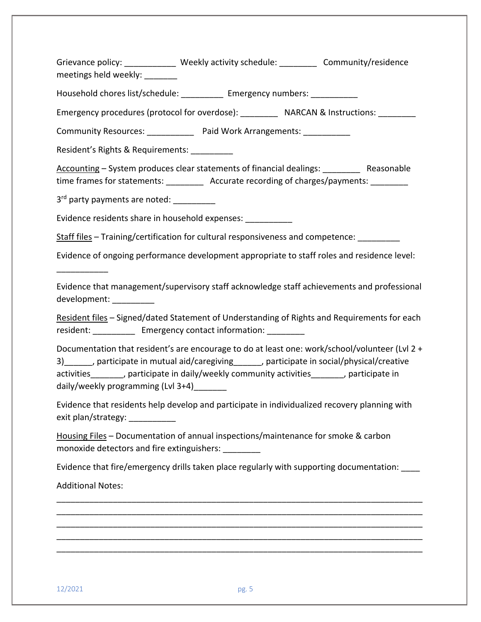Grievance policy: \_\_\_\_\_\_\_\_\_\_\_\_\_ Weekly activity schedule: \_\_\_\_\_\_\_\_\_\_ Community/residence meetings held weekly:

Household chores list/schedule: \_\_\_\_\_\_\_\_\_\_ Emergency numbers: \_\_\_\_\_\_\_\_\_\_\_

Emergency procedures (protocol for overdose): \_\_\_\_\_\_\_\_\_\_\_ NARCAN & Instructions: \_\_\_\_\_\_\_\_

Community Resources: \_\_\_\_\_\_\_\_\_\_\_\_ Paid Work Arrangements: \_\_\_\_\_\_\_\_\_\_\_

Resident's Rights & Requirements: \_\_\_\_\_\_\_\_\_

Accounting – System produces clear statements of financial dealings: Reasonable time frames for statements: <br>  $\Delta$  Accurate recording of charges/payments:

3<sup>rd</sup> party payments are noted:

Evidence residents share in household expenses: \_\_\_\_\_\_\_\_\_\_

Staff files – Training/certification for cultural responsiveness and competence:

Evidence of ongoing performance development appropriate to staff roles and residence level:

Evidence that management/supervisory staff acknowledge staff achievements and professional development: \_\_\_\_\_\_\_\_\_

Resident files – Signed/dated Statement of Understanding of Rights and Requirements for each resident: Emergency contact information:

Documentation that resident's are encourage to do at least one: work/school/volunteer (Lvl 2 + 3) participate in mutual aid/caregiving participate in social/physical/creative activities\_\_\_\_\_\_\_, participate in daily/weekly community activities\_\_\_\_\_\_\_, participate in daily/weekly programming (Lvl 3+4)\_\_\_\_\_\_\_

Evidence that residents help develop and participate in individualized recovery planning with exit plan/strategy: \_\_\_\_\_\_\_\_\_\_

Housing Files – Documentation of annual inspections/maintenance for smoke & carbon monoxide detectors and fire extinguishers: \_\_\_\_\_\_\_\_

Evidence that fire/emergency drills taken place regularly with supporting documentation: \_\_\_\_

\_\_\_\_\_\_\_\_\_\_\_\_\_\_\_\_\_\_\_\_\_\_\_\_\_\_\_\_\_\_\_\_\_\_\_\_\_\_\_\_\_\_\_\_\_\_\_\_\_\_\_\_\_\_\_\_\_\_\_\_\_\_\_\_\_\_\_\_\_\_\_\_\_\_\_\_\_\_ \_\_\_\_\_\_\_\_\_\_\_\_\_\_\_\_\_\_\_\_\_\_\_\_\_\_\_\_\_\_\_\_\_\_\_\_\_\_\_\_\_\_\_\_\_\_\_\_\_\_\_\_\_\_\_\_\_\_\_\_\_\_\_\_\_\_\_\_\_\_\_\_\_\_\_\_\_\_ \_\_\_\_\_\_\_\_\_\_\_\_\_\_\_\_\_\_\_\_\_\_\_\_\_\_\_\_\_\_\_\_\_\_\_\_\_\_\_\_\_\_\_\_\_\_\_\_\_\_\_\_\_\_\_\_\_\_\_\_\_\_\_\_\_\_\_\_\_\_\_\_\_\_\_\_\_\_ \_\_\_\_\_\_\_\_\_\_\_\_\_\_\_\_\_\_\_\_\_\_\_\_\_\_\_\_\_\_\_\_\_\_\_\_\_\_\_\_\_\_\_\_\_\_\_\_\_\_\_\_\_\_\_\_\_\_\_\_\_\_\_\_\_\_\_\_\_\_\_\_\_\_\_\_\_\_ \_\_\_\_\_\_\_\_\_\_\_\_\_\_\_\_\_\_\_\_\_\_\_\_\_\_\_\_\_\_\_\_\_\_\_\_\_\_\_\_\_\_\_\_\_\_\_\_\_\_\_\_\_\_\_\_\_\_\_\_\_\_\_\_\_\_\_\_\_\_\_\_\_\_\_\_\_\_

Additional Notes:

\_\_\_\_\_\_\_\_\_\_\_